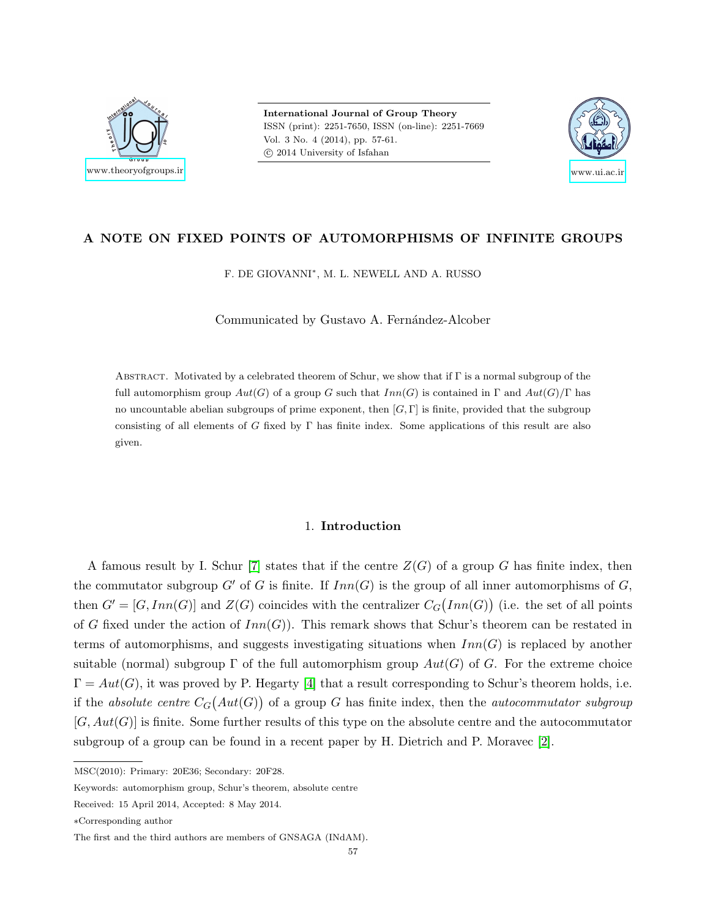

International Journal of Group Theory ISSN (print): 2251-7650, ISSN (on-line): 2251-7669 Vol. 3 No. 4 (2014), pp. 57-61. c 2014 University of Isfahan



# A NOTE ON FIXED POINTS OF AUTOMORPHISMS OF INFINITE GROUPS

F. DE GIOVANNI<sup>∗</sup> , M. L. NEWELL AND A. RUSSO

Communicated by Gustavo A. Fernández-Alcober

ABSTRACT. Motivated by a celebrated theorem of Schur, we show that if  $\Gamma$  is a normal subgroup of the full automorphism group  $Aut(G)$  of a group G such that  $Inn(G)$  is contained in Γ and  $Aut(G)/\Gamma$  has no uncountable abelian subgroups of prime exponent, then  $[G, \Gamma]$  is finite, provided that the subgroup consisting of all elements of G fixed by  $\Gamma$  has finite index. Some applications of this result are also given.

## 1. Introduction

A famous result by I. Schur [\[7\]](#page-4-0) states that if the centre  $Z(G)$  of a group G has finite index, then the commutator subgroup  $G'$  of G is finite. If  $Inn(G)$  is the group of all inner automorphisms of G, then  $G' = [G, Inn(G)]$  and  $Z(G)$  coincides with the centralizer  $C_G(Inn(G))$  (i.e. the set of all points of G fixed under the action of  $Inn(G)$ ). This remark shows that Schur's theorem can be restated in terms of automorphisms, and suggests investigating situations when  $Inn(G)$  is replaced by another suitable (normal) subgroup  $\Gamma$  of the full automorphism group  $Aut(G)$  of G. For the extreme choice  $\Gamma = Aut(G)$ , it was proved by P. Hegarty [\[4\]](#page-4-1) that a result corresponding to Schur's theorem holds, i.e. if the absolute centre  $C_G(Aut(G))$  of a group G has finite index, then the autocommutator subgroup  $[G, Aut(G)]$  is finite. Some further results of this type on the absolute centre and the autocommutator subgroup of a group can be found in a recent paper by H. Dietrich and P. Moravec [\[2\]](#page-4-2).

MSC(2010): Primary: 20E36; Secondary: 20F28.

Keywords: automorphism group, Schur's theorem, absolute centre

Received: 15 April 2014, Accepted: 8 May 2014.

<sup>∗</sup>Corresponding author

The first and the third authors are members of GNSAGA (INdAM).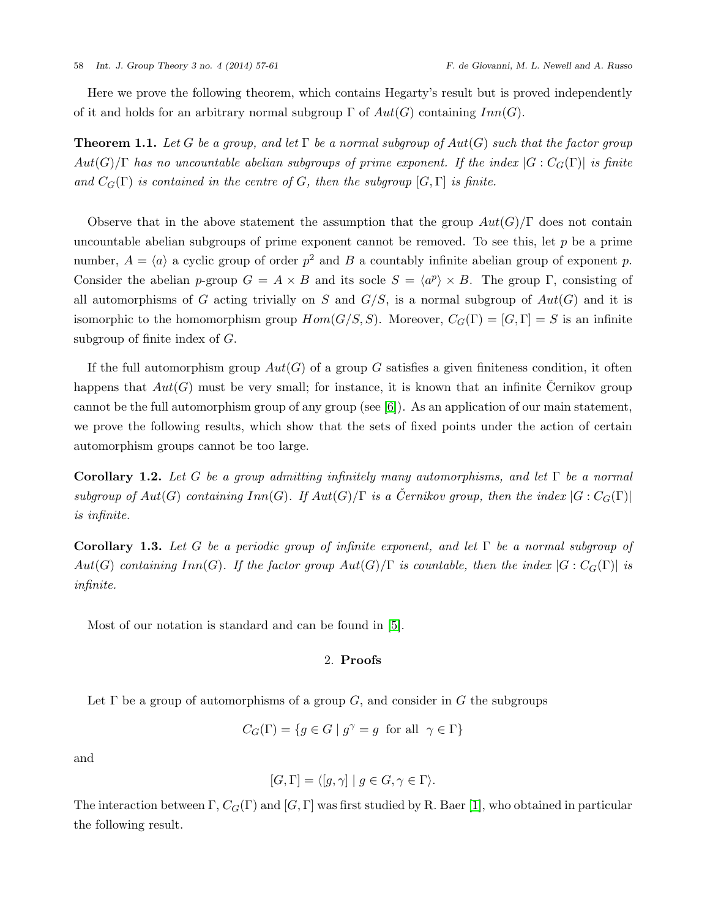Here we prove the following theorem, which contains Hegarty's result but is proved independently of it and holds for an arbitrary normal subgroup  $\Gamma$  of  $Aut(G)$  containing  $Inn(G)$ .

<span id="page-1-0"></span>**Theorem 1.1.** Let G be a group, and let  $\Gamma$  be a normal subgroup of  $Aut(G)$  such that the factor group  $Aut(G)/\Gamma$  has no uncountable abelian subgroups of prime exponent. If the index  $|G: C_G(\Gamma)|$  is finite and  $C_G(\Gamma)$  is contained in the centre of G, then the subgroup  $[G, \Gamma]$  is finite.

Observe that in the above statement the assumption that the group  $Aut(G)/\Gamma$  does not contain uncountable abelian subgroups of prime exponent cannot be removed. To see this, let  $p$  be a prime number,  $A = \langle a \rangle$  a cyclic group of order  $p^2$  and B a countably infinite abelian group of exponent p. Consider the abelian p-group  $G = A \times B$  and its socle  $S = \langle a^p \rangle \times B$ . The group  $\Gamma$ , consisting of all automorphisms of G acting trivially on S and  $G/S$ , is a normal subgroup of  $Aut(G)$  and it is isomorphic to the homomorphism group  $Hom(G/S, S)$ . Moreover,  $C_G(\Gamma) = [G, \Gamma] = S$  is an infinite subgroup of finite index of G.

If the full automorphism group  $Aut(G)$  of a group G satisfies a given finiteness condition, it often happens that  $Aut(G)$  must be very small; for instance, it is known that an infinite Cernikov group cannot be the full automorphism group of any group (see [\[6\]](#page-4-3)). As an application of our main statement, we prove the following results, which show that the sets of fixed points under the action of certain automorphism groups cannot be too large.

<span id="page-1-1"></span>Corollary 1.2. Let G be a group admitting infinitely many automorphisms, and let  $\Gamma$  be a normal subgroup of  $Aut(G)$  containing  $Inn(G)$ . If  $Aut(G)/\Gamma$  is a Cernikov group, then the index  $|G: C_G(\Gamma)|$ is infinite.

<span id="page-1-3"></span>**Corollary 1.3.** Let G be a periodic group of infinite exponent, and let  $\Gamma$  be a normal subgroup of  $Aut(G)$  containing Inn(G). If the factor group  $Aut(G)/\Gamma$  is countable, then the index  $|G: C_G(\Gamma)|$  is infinite.

Most of our notation is standard and can be found in [\[5\]](#page-4-4).

#### 2. Proofs

Let  $\Gamma$  be a group of automorphisms of a group G, and consider in G the subgroups

$$
C_G(\Gamma) = \{ g \in G \mid g^{\gamma} = g \text{ for all } \gamma \in \Gamma \}
$$

and

$$
[G, \Gamma] = \langle [g, \gamma] \mid g \in G, \gamma \in \Gamma \rangle.
$$

<span id="page-1-2"></span>The interaction between Γ,  $C_G(\Gamma)$  and  $[G,\Gamma]$  was first studied by R. Baer [\[1\]](#page-4-5), who obtained in particular the following result.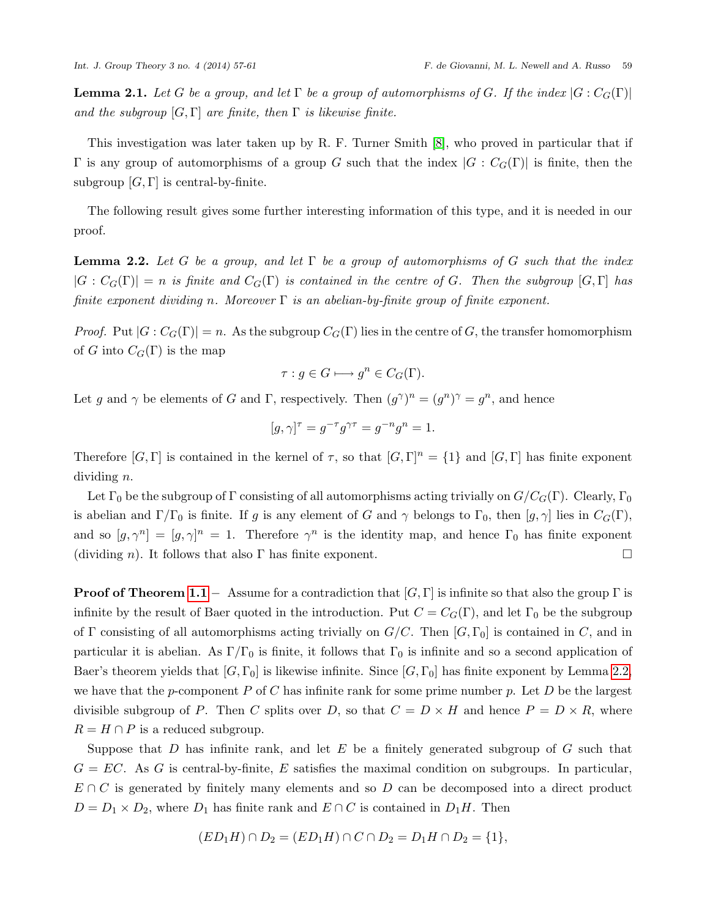**Lemma 2.1.** Let G be a group, and let  $\Gamma$  be a group of automorphisms of G. If the index  $|G: C_G(\Gamma)|$ and the subgroup  $[G, \Gamma]$  are finite, then  $\Gamma$  is likewise finite.

This investigation was later taken up by R. F. Turner Smith [\[8\]](#page-4-6), who proved in particular that if Γ is any group of automorphisms of a group G such that the index  $|G : C<sub>G</sub>(Γ)|$  is finite, then the subgroup  $[G, \Gamma]$  is central-by-finite.

The following result gives some further interesting information of this type, and it is needed in our proof.

<span id="page-2-0"></span>**Lemma 2.2.** Let G be a group, and let  $\Gamma$  be a group of automorphisms of G such that the index  $|G: C_G(\Gamma)| = n$  is finite and  $C_G(\Gamma)$  is contained in the centre of G. Then the subgroup  $[G, \Gamma]$  has finite exponent dividing n. Moreover  $\Gamma$  is an abelian-by-finite group of finite exponent.

*Proof.* Put  $|G: C_G(\Gamma)| = n$ . As the subgroup  $C_G(\Gamma)$  lies in the centre of G, the transfer homomorphism of G into  $C_G(\Gamma)$  is the map

$$
\tau: g \in G \longmapsto g^n \in C_G(\Gamma).
$$

Let g and  $\gamma$  be elements of G and Γ, respectively. Then  $(g^{\gamma})^n = (g^n)^{\gamma} = g^n$ , and hence

$$
[g,\gamma]^\tau=g^{-\tau}g^{\gamma\tau}=g^{-n}g^n=1.
$$

Therefore  $[G,\Gamma]$  is contained in the kernel of  $\tau$ , so that  $[G,\Gamma]^n = \{1\}$  and  $[G,\Gamma]$  has finite exponent dividing n.

Let  $\Gamma_0$  be the subgroup of  $\Gamma$  consisting of all automorphisms acting trivially on  $G/C_G(\Gamma)$ . Clearly,  $\Gamma_0$ is abelian and  $\Gamma/\Gamma_0$  is finite. If g is any element of G and  $\gamma$  belongs to  $\Gamma_0$ , then  $[g, \gamma]$  lies in  $C_G(\Gamma)$ , and so  $[g, \gamma^n] = [g, \gamma]^n = 1$ . Therefore  $\gamma^n$  is the identity map, and hence  $\Gamma_0$  has finite exponent (dividing n). It follows that also  $\Gamma$  has finite exponent.  $\Box$ 

**Proof of Theorem [1.1](#page-1-0)** – Assume for a contradiction that  $[G, \Gamma]$  is infinite so that also the group  $\Gamma$  is infinite by the result of Baer quoted in the introduction. Put  $C = C<sub>G</sub>(\Gamma)$ , and let  $\Gamma_0$  be the subgroup of Γ consisting of all automorphisms acting trivially on  $G/C$ . Then  $[G, \Gamma_0]$  is contained in C, and in particular it is abelian. As  $\Gamma/\Gamma_0$  is finite, it follows that  $\Gamma_0$  is infinite and so a second application of Baer's theorem yields that  $[G, \Gamma_0]$  is likewise infinite. Since  $[G, \Gamma_0]$  has finite exponent by Lemma [2.2,](#page-2-0) we have that the p-component P of C has infinite rank for some prime number p. Let D be the largest divisible subgroup of P. Then C splits over D, so that  $C = D \times H$  and hence  $P = D \times R$ , where  $R = H \cap P$  is a reduced subgroup.

Suppose that D has infinite rank, and let E be a finitely generated subgroup of G such that  $G = EC$ . As G is central-by-finite, E satisfies the maximal condition on subgroups. In particular,  $E \cap C$  is generated by finitely many elements and so D can be decomposed into a direct product  $D = D_1 \times D_2$ , where  $D_1$  has finite rank and  $E \cap C$  is contained in  $D_1H$ . Then

$$
(ED_1H)\cap D_2=(ED_1H)\cap C\cap D_2=D_1H\cap D_2=\{1\},\
$$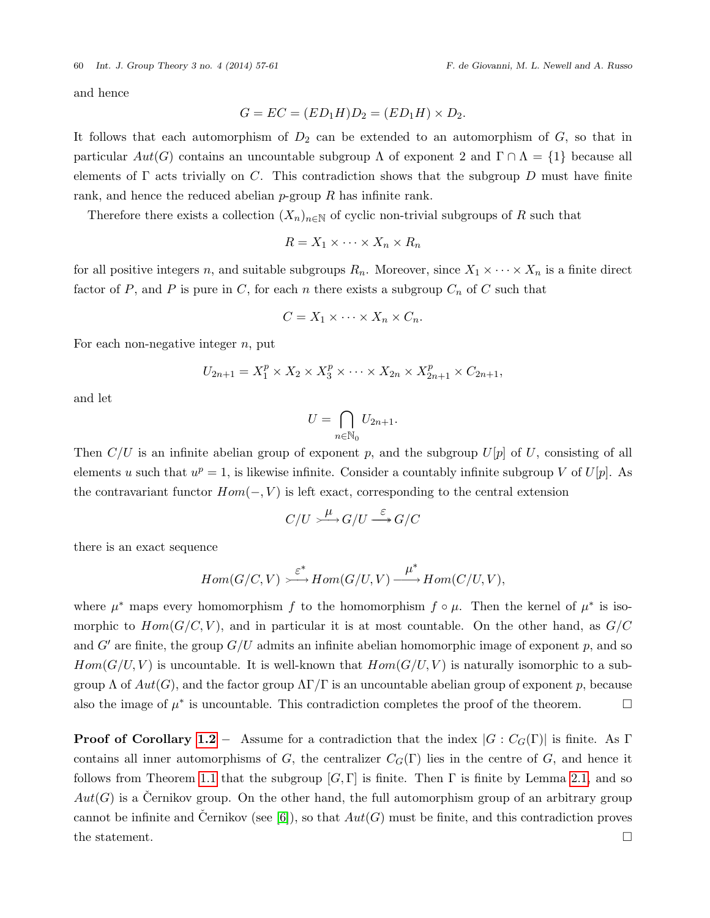60 Int. J. Group Theory 3 no. 4 (2014) 57-61 F. de Giovanni, M. L. Newell and A. Russo

and hence

$$
G = EC = (ED1H)D2 = (ED1H) \times D2.
$$

It follows that each automorphism of  $D_2$  can be extended to an automorphism of  $G$ , so that in particular  $Aut(G)$  contains an uncountable subgroup  $\Lambda$  of exponent 2 and  $\Gamma \cap \Lambda = \{1\}$  because all elements of  $\Gamma$  acts trivially on C. This contradiction shows that the subgroup D must have finite rank, and hence the reduced abelian  $p$ -group  $R$  has infinite rank.

Therefore there exists a collection  $(X_n)_{n\in\mathbb{N}}$  of cyclic non-trivial subgroups of R such that

$$
R = X_1 \times \cdots \times X_n \times R_n
$$

for all positive integers n, and suitable subgroups  $R_n$ . Moreover, since  $X_1 \times \cdots \times X_n$  is a finite direct factor of P, and P is pure in C, for each n there exists a subgroup  $C_n$  of C such that

$$
C = X_1 \times \cdots \times X_n \times C_n.
$$

For each non-negative integer  $n$ , put

$$
U_{2n+1} = X_1^p \times X_2 \times X_3^p \times \cdots \times X_{2n} \times X_{2n+1}^p \times C_{2n+1},
$$

and let

$$
U = \bigcap_{n \in \mathbb{N}_0} U_{2n+1}.
$$

Then  $C/U$  is an infinite abelian group of exponent p, and the subgroup  $U[p]$  of U, consisting of all elements u such that  $u^p = 1$ , is likewise infinite. Consider a countably infinite subgroup V of  $U[p]$ . As the contravariant functor  $Hom(-, V)$  is left exact, corresponding to the central extension

$$
C/U \xrightarrow{\mu} G/U \xrightarrow{\varepsilon} G/C
$$

there is an exact sequence

$$
Hom(G/C,V) \xrightarrow{\varepsilon^*} Hom(G/U,V) \xrightarrow{\mu^*} Hom(C/U,V),
$$

where  $\mu^*$  maps every homomorphism f to the homomorphism  $f \circ \mu$ . Then the kernel of  $\mu^*$  is isomorphic to  $Hom(G/C, V)$ , and in particular it is at most countable. On the other hand, as  $G/C$ and G' are finite, the group  $G/U$  admits an infinite abelian homomorphic image of exponent p, and so  $Hom(G/U, V)$  is uncountable. It is well-known that  $Hom(G/U, V)$  is naturally isomorphic to a subgroup  $\Lambda$  of  $Aut(G)$ , and the factor group  $\Lambda \Gamma / \Gamma$  is an uncountable abelian group of exponent p, because also the image of  $\mu^*$  is uncountable. This contradiction completes the proof of the theorem.  $\Box$ 

**Proof of Corollary [1.2](#page-1-1)** – Assume for a contradiction that the index  $|G : C_G(\Gamma)|$  is finite. As  $\Gamma$ contains all inner automorphisms of G, the centralizer  $C_G(\Gamma)$  lies in the centre of G, and hence it follows from Theorem [1.1](#page-1-0) that the subgroup  $[G,\Gamma]$  is finite. Then  $\Gamma$  is finite by Lemma [2.1,](#page-1-2) and so  $Aut(G)$  is a Cernikov group. On the other hand, the full automorphism group of an arbitrary group cannot be infinite and Cernikov (see [\[6\]](#page-4-3)), so that  $Aut(G)$  must be finite, and this contradiction proves the statement.  $\Box$